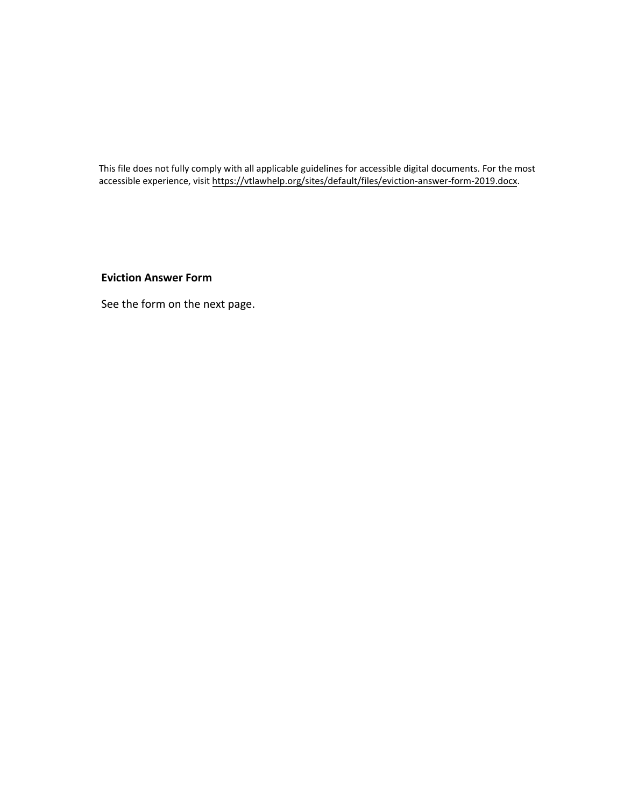This file does not fully comply with all applicable guidelines for accessible digital documents. For the most accessible experience, visit [https://vtlawhelp.org/sites/default/files/eviction-answer-form-2019.docx.](https://vtlawhelp.org/sites/default/files/eviction-answer-form-2019.docx)

**Eviction Answer Form**

See the form on the next page.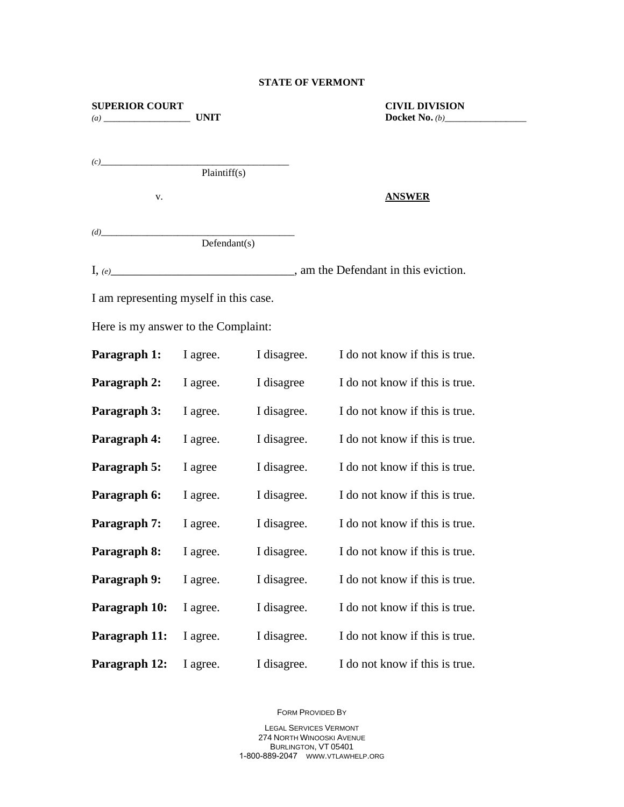## **STATE OF VERMONT**

| <b>SUPERIOR COURT</b><br><b>UNIT</b>   |              |             | <b>CIVIL DIVISION</b>                       |
|----------------------------------------|--------------|-------------|---------------------------------------------|
| (c)                                    | Plaintiff(s) |             |                                             |
| v.                                     |              |             | <b>ANSWER</b>                               |
| Defendant(s)                           |              |             |                                             |
|                                        |              |             | $I, (e)$ am the Defendant in this eviction. |
| I am representing myself in this case. |              |             |                                             |
| Here is my answer to the Complaint:    |              |             |                                             |
| Paragraph 1:                           | I agree.     | I disagree. | I do not know if this is true.              |
| Paragraph 2:                           | I agree.     | I disagree  | I do not know if this is true.              |
| Paragraph 3:                           | I agree.     | I disagree. | I do not know if this is true.              |
| Paragraph 4:                           | I agree.     | I disagree. | I do not know if this is true.              |
| Paragraph 5:                           | I agree      | I disagree. | I do not know if this is true.              |
| Paragraph 6:                           | I agree.     | I disagree. | I do not know if this is true.              |
| Paragraph 7:                           | I agree.     | I disagree. | I do not know if this is true.              |
| Paragraph 8:                           | I agree.     |             | I disagree. I do not know if this is true.  |
| Paragraph 9:                           | I agree.     | I disagree. | I do not know if this is true.              |
| Paragraph 10:                          | I agree.     | I disagree. | I do not know if this is true.              |
| Paragraph 11:                          | I agree.     | I disagree. | I do not know if this is true.              |
| Paragraph 12:                          | I agree.     | I disagree. | I do not know if this is true.              |

FORM PROVIDED BY

LEGAL SERVICES VERMONT 274 NORTH WINOOSKI AVENUE BURLINGTON, VT 05401 1-800-889-2047 WWW.VTLAWHELP.ORG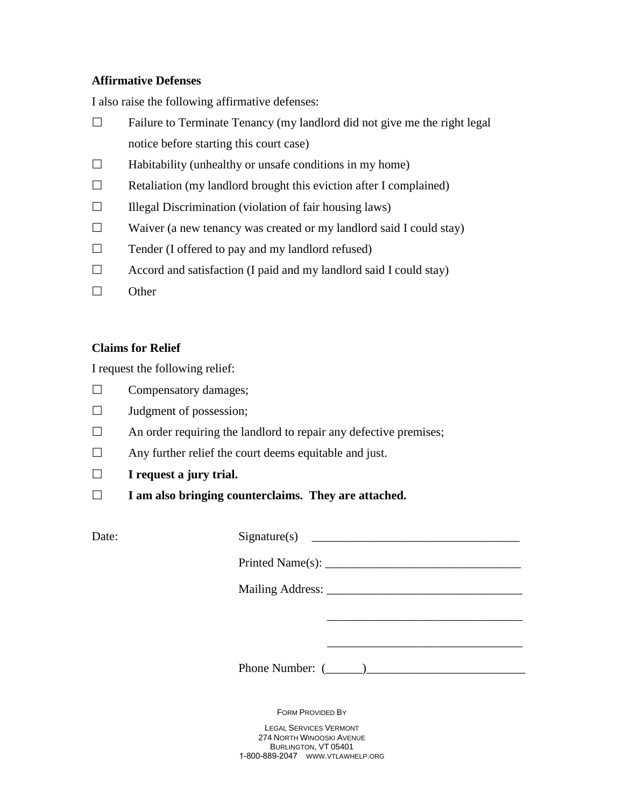## **Affirmative Defenses**

I also raise the following affirmative defenses:

- $\Box$  Failure to Terminate Tenancy (my landlord did not give me the right legal notice before starting this court case)
- $\Box$  Habitability (unhealthy or unsafe conditions in my home)
- $\Box$  Retaliation (my landlord brought this eviction after I complained)
- $\Box$  Illegal Discrimination (violation of fair housing laws)
- $\Box$  Waiver (a new tenancy was created or my landlord said I could stay)
- $\Box$  Tender (I offered to pay and my landlord refused)
- $\Box$  Accord and satisfaction (I paid and my landlord said I could stay)
- $\Box$  Other

## **Claims for Relief**

I request the following relief:

- $\Box$  Compensatory damages;
- $\Box$  Judgment of possession;
- $\Box$  An order requiring the landlord to repair any defective premises;
- $\Box$  Any further relief the court deems equitable and just.
- **I request a jury trial.**
- **I am also bringing counterclaims. They are attached.**

| Date: | Sigma(s) |
|-------|----------|
|       |          |
|       |          |
|       |          |
|       |          |

Phone Number:  $(\_\_)$ 

FORM PROVIDED BY

LEGAL SERVICES VERMONT 274 NORTH WINOOSKI AVENUE BURLINGTON, VT 05401 1-800-889-2047 WWW.VTLAWHELP.ORG